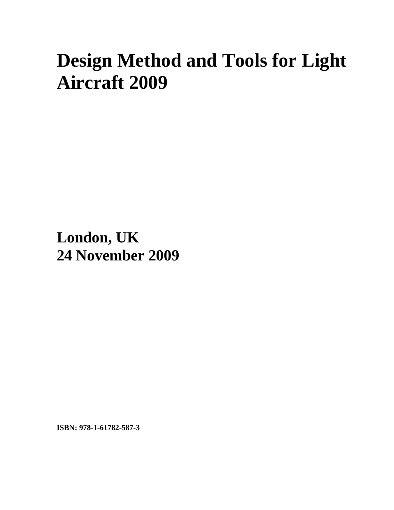## **Design Method and Tools for Light Aircraft 2009**

**London, UK 24 November 2009**

**ISBN: 978-1-61782-587-3**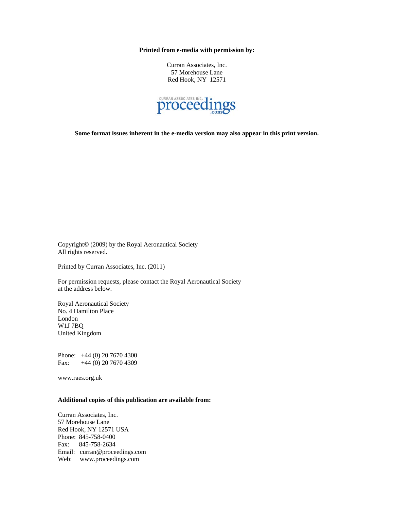**Printed from e-media with permission by:** 

Curran Associates, Inc. 57 Morehouse Lane Red Hook, NY 12571



**Some format issues inherent in the e-media version may also appear in this print version.** 

Copyright© (2009) by the Royal Aeronautical Society All rights reserved.

Printed by Curran Associates, Inc. (2011)

For permission requests, please contact the Royal Aeronautical Society at the address below.

Royal Aeronautical Society No. 4 Hamilton Place London W1J 7BQ United Kingdom

Phone: +44 (0) 20 7670 4300 Fax: +44 (0) 20 7670 4309

www.raes.org.uk

## **Additional copies of this publication are available from:**

Curran Associates, Inc. 57 Morehouse Lane Red Hook, NY 12571 USA Phone: 845-758-0400 Fax: 845-758-2634 Email: curran@proceedings.com Web: www.proceedings.com